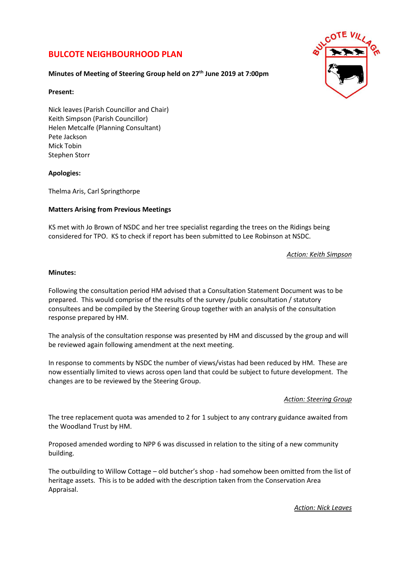# **BULCOTE NEIGHBOURHOOD PLAN**



## **Minutes of Meeting of Steering Group held on 27th June 2019 at 7:00pm**

## **Present:**

Nick leaves (Parish Councillor and Chair) Keith Simpson (Parish Councillor) Helen Metcalfe (Planning Consultant) Pete Jackson Mick Tobin Stephen Storr

## **Apologies:**

Thelma Aris, Carl Springthorpe

## **Matters Arising from Previous Meetings**

KS met with Jo Brown of NSDC and her tree specialist regarding the trees on the Ridings being considered for TPO. KS to check if report has been submitted to Lee Robinson at NSDC.

*Action: Keith Simpson* 

#### **Minutes:**

Following the consultation period HM advised that a Consultation Statement Document was to be prepared. This would comprise of the results of the survey /public consultation / statutory consultees and be compiled by the Steering Group together with an analysis of the consultation response prepared by HM.

The analysis of the consultation response was presented by HM and discussed by the group and will be reviewed again following amendment at the next meeting.

In response to comments by NSDC the number of views/vistas had been reduced by HM. These are now essentially limited to views across open land that could be subject to future development. The changes are to be reviewed by the Steering Group.

## *Action: Steering Group*

The tree replacement quota was amended to 2 for 1 subject to any contrary guidance awaited from the Woodland Trust by HM.

Proposed amended wording to NPP 6 was discussed in relation to the siting of a new community building.

The outbuilding to Willow Cottage – old butcher's shop - had somehow been omitted from the list of heritage assets. This is to be added with the description taken from the Conservation Area Appraisal.

*Action: Nick Leaves*